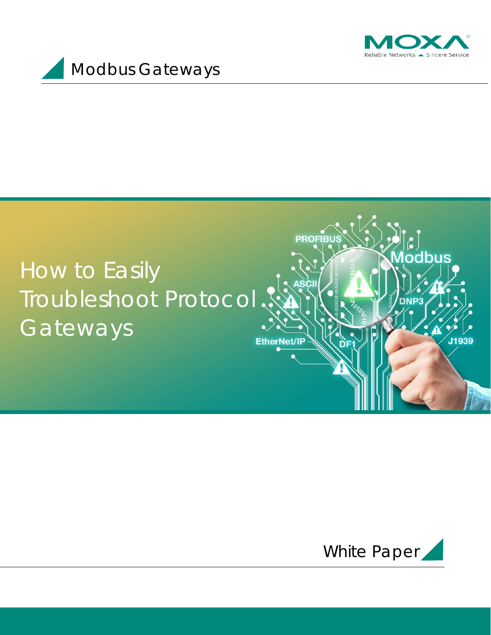

odbus

J1939



## How to Easily Troubleshoot Protocol GatewaysEtherNet/IP



**PROFIBU**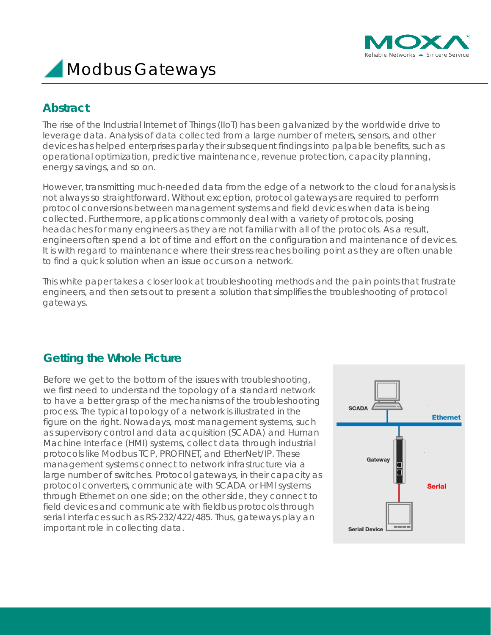

### **Abstract**

The rise of the Industrial Internet of Things (IIoT) has been galvanized by the worldwide drive to leverage data. Analysis of data collected from a large number of meters, sensors, and other devices has helped enterprises parlay their subsequent findings into palpable benefits, such as operational optimization, predictive maintenance, revenue protection, capacity planning, energy savings, and so on.

However, transmitting much-needed data from the edge of a network to the cloud for analysis is not always so straightforward. Without exception, protocol gateways are required to perform protocol conversions between management systems and field devices when data is being collected. Furthermore, applications commonly deal with a variety of protocols, posing headaches for many engineers as they are not familiar with all of the protocols. As a result, engineers often spend a lot of time and effort on the configuration and maintenance of devices. It is with regard to maintenance where their stress reaches boiling point as they are often unable to find a quick solution when an issue occurs on a network.

This white paper takes a closer look at troubleshooting methods and the pain points that frustrate engineers, and then sets out to present a solution that simplifies the troubleshooting of protocol gateways.

## **Getting the Whole Picture**

Before we get to the bottom of the issues with troubleshooting, we first need to understand the topology of a standard network to have a better grasp of the mechanisms of the troubleshooting process. The typical topology of a network is illustrated in the figure on the right. Nowadays, most management systems, such as supervisory control and data acquisition (SCADA) and Human Machine Interface (HMI) systems, collect data through industrial protocols like Modbus TCP, PROFINET, and EtherNet/IP. These management systems connect to network infrastructure via a large number of switches. Protocol gateways, in their capacity as protocol converters, communicate with SCADA or HMI systems through Ethernet on one side; on the other side, they connect to field devices and communicate with fieldbus protocols through serial interfaces such as RS-232/422/485. Thus, gateways play an important role in collecting data.

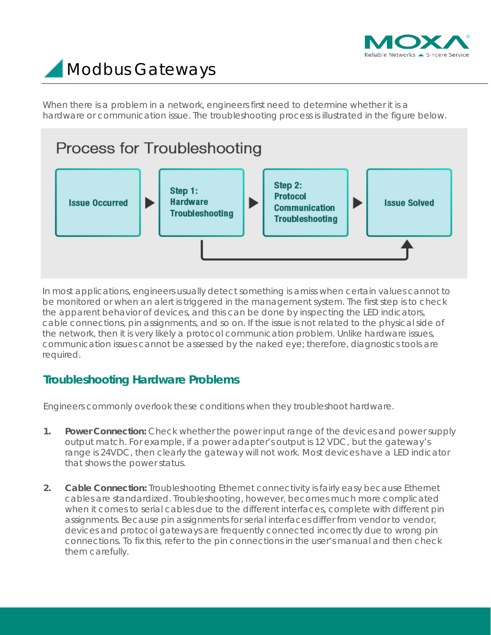

When there is a problem in a network, engineers first need to determine whether it is a hardware or communication issue. The troubleshooting process is illustrated in the figure below.

## Process for Troubleshooting



In most applications, engineers usually detect something is amiss when certain values cannot to be monitored or when an alert is triggered in the management system. The first step is to check the apparent behavior of devices, and this can be done by inspecting the LED indicators, cable connections, pin assignments, and so on. If the issue is not related to the physical side of the network, then it is very likely a protocol communication problem. Unlike hardware issues, communication issues cannot be assessed by the naked eye; therefore, diagnostics tools are required.

## **Troubleshooting Hardware Problems**

Engineers commonly overlook these conditions when they troubleshoot hardware.

- **1. Power Connection:** Check whether the power input range of the devices and power supply output match. For example, if a power adapter's output is 12 VDC, but the gateway's range is 24VDC, then clearly the gateway will not work. Most devices have a LED indicator that shows the power status.
- **2. Cable Connection:** Troubleshooting Ethernet connectivity is fairly easy because Ethernet cables are standardized. Troubleshooting, however, becomes much more complicated when it comes to serial cables due to the different interfaces, complete with different pin assignments. Because pin assignments for serial interfaces differ from vendor to vendor, devices and protocol gateways are frequently connected incorrectly due to wrong pin connections. To fix this, refer to the pin connections in the user's manual and then check them carefully.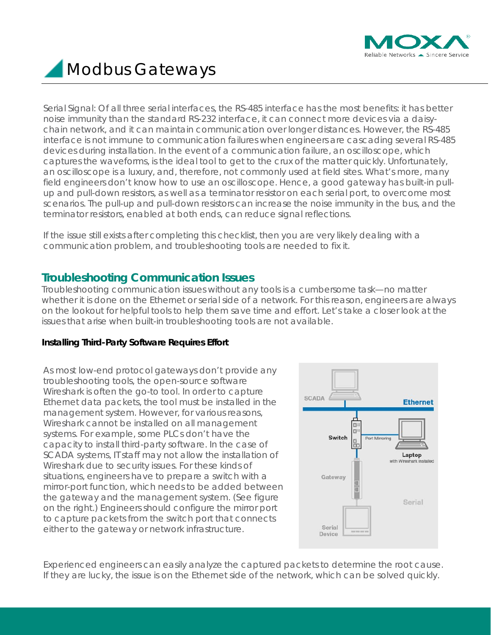

Serial Signal: Of all three serial interfaces, the RS-485 interface has the most benefits: it has better noise immunity than the standard RS-232 interface, it can connect more devices via a daisychain network, and it can maintain communication over longer distances. However, the RS-485 interface is not immune to communication failures when engineers are cascading several RS-485 devices during installation. In the event of a communication failure, an oscilloscope, which captures the waveforms, is the ideal tool to get to the crux of the matter quickly. Unfortunately, an oscilloscope is a luxury, and, therefore, not commonly used at field sites. What's more, many field engineers don't know how to use an oscilloscope. Hence, a good gateway has built-in pullup and pull-down resistors, as well as a terminator resistor on each serial port, to overcome most scenarios. The pull-up and pull-down resistors can increase the noise immunity in the bus, and the terminator resistors, enabled at both ends, can reduce signal reflections.

If the issue still exists after completing this checklist, then you are very likely dealing with a communication problem, and troubleshooting tools are needed to fix it.

### **Troubleshooting Communication Issues**

Troubleshooting communication issues without any tools is a cumbersome task—no matter whether it is done on the Ethernet or serial side of a network. For this reason, engineers are always on the lookout for helpful tools to help them save time and effort. Let's take a closer look at the issues that arise when built-in troubleshooting tools are not available.

#### **Installing Third-Party Software Requires Effort**

As most low-end protocol gateways don't provide any troubleshooting tools, the open-source software Wireshark is often the go-to tool. In order to capture Ethernet data packets, the tool must be installed in the management system. However, for various reasons, Wireshark cannot be installed on all management systems. For example, some PLCs don't have the capacity to install third-party software. In the case of SCADA systems, IT staff may not allow the installation of Wireshark due to security issues. For these kinds of situations, engineers have to prepare a switch with a mirror-port function, which needs to be added between the gateway and the management system. (See figure on the right.) Engineers should configure the mirror port to capture packets from the switch port that connects either to the gateway or network infrastructure.



Experienced engineers can easily analyze the captured packets to determine the root cause. If they are lucky, the issue is on the Ethernet side of the network, which can be solved quickly.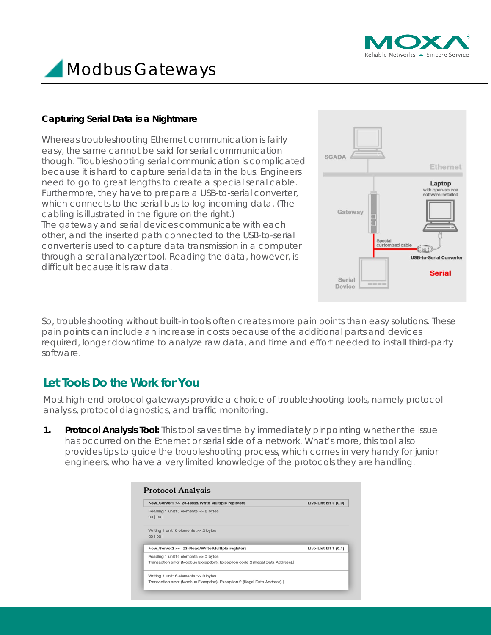



#### **Capturing Serial Data is a Nightmare**

Whereas troubleshooting Ethernet communication is fairly easy, the same cannot be said for serial communication though. Troubleshooting serial communication is complicated because it is hard to capture serial data in the bus. Engineers need to go to great lengths to create a special serial cable. Furthermore, they have to prepare a USB-to-serial converter, which connects to the serial bus to log incoming data. (The cabling is illustrated in the figure on the right.) The gateway and serial devices communicate with each other, and the inserted path connected to the USB-to-serial converter is used to capture data transmission in a computer through a serial analyzer tool. Reading the data, however, is difficult because it is raw data.



So, troubleshooting without built-in tools often creates more pain points than easy solutions. These pain points can include an increase in costs because of the additional parts and devices required, longer downtime to analyze raw data, and time and effort needed to install third-party software.

### **Let Tools Do the Work for You**

Most high-end protocol gateways provide a choice of troubleshooting tools, namely protocol analysis, protocol diagnostics, and traffic monitoring.

**1. Protocol Analysis Tool:** This tool saves time by immediately pinpointing whether the issue has occurred on the Ethernet or serial side of a network. What's more, this tool also provides tips to guide the troubleshooting process, which comes in very handy for junior engineers, who have a very limited knowledge of the protocols they are handling.

| New_Server1 >> 23-Read/Write Multiple registers                                                                        | Live-List bit $0(0.0)$ |  |
|------------------------------------------------------------------------------------------------------------------------|------------------------|--|
| Reading 1 unit16 elements >> 2 bytes                                                                                   |                        |  |
| 00   00                                                                                                                |                        |  |
| Writing 1 unit16 elements >> 2 bytes                                                                                   |                        |  |
| 00   00                                                                                                                |                        |  |
| New_Server2 >> 23-Read/Write Multiple registers                                                                        | Live-List bit $1(0.1)$ |  |
| Reading 1 unit16 elements >> 0 bytes                                                                                   |                        |  |
|                                                                                                                        |                        |  |
|                                                                                                                        |                        |  |
| Transaction error (Modbus Exception). Exception code 2 (Illegal Data Address).<br>Writing 1 unit16 elements >> 0 bytes |                        |  |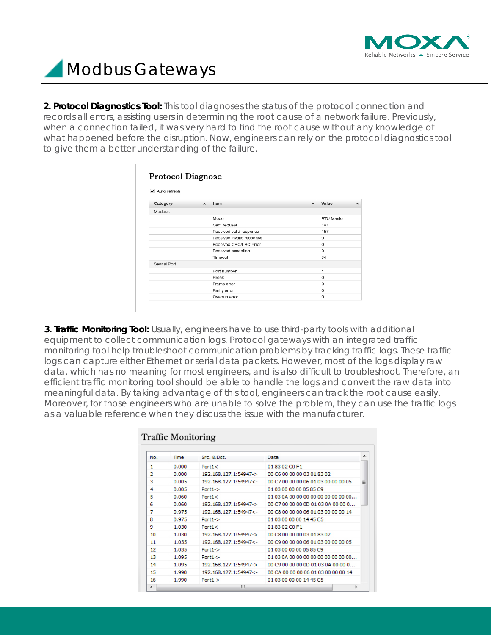

**2. Protocol Diagnostics Tool:** This tool diagnoses the status of the protocol connection and records all errors, assisting users in determining the root cause of a network failure. Previously, when a connection failed, it was very hard to find the root cause without any knowledge of what happened before the disruption. Now, engineers can rely on the protocol diagnostics tool to give them a better understanding of the failure.

| ✔ Auto refresh |                     |                           |                     |            |
|----------------|---------------------|---------------------------|---------------------|------------|
| Category       | $\hat{\phantom{a}}$ | Item                      | $\hat{\phantom{a}}$ | Value<br>ㅅ |
| <b>Modbus</b>  |                     |                           |                     |            |
|                |                     | Mode                      |                     | RTU Master |
|                |                     | Sent request              |                     | 191        |
|                |                     | Received valid response   |                     | 157        |
|                |                     | Received Invalld response |                     | $\Omega$   |
|                |                     | Received CRC/LRC Error    |                     | $\Omega$   |
|                |                     | Received exception        |                     | $\Omega$   |
|                |                     | Timeout                   |                     | 34         |
| Searial Port   |                     |                           |                     |            |
|                |                     | Port number               |                     | 1          |
|                |                     | Break                     |                     | $\Omega$   |
|                |                     | Frame error               |                     | $\Omega$   |
|                |                     | Parlty error              |                     | $\circ$    |
|                |                     | Overrun error             |                     | $\Omega$   |

**3. Traffic Monitoring Tool:** Usually, engineers have to use third-party tools with additional equipment to collect communication logs. Protocol gateways with an integrated traffic monitoring tool help troubleshoot communication problems by tracking traffic logs. These traffic logs can capture either Ethernet or serial data packets. However, most of the logs display raw data, which has no meaning for most engineers, and is also difficult to troubleshoot. Therefore, an efficient traffic monitoring tool should be able to handle the logs and convert the raw data into meaningful data. By taking advantage of this tool, engineers can track the root cause easily. Moreover, for those engineers who are unable to solve the problem, they can use the traffic logs as a valuable reference when they discuss the issue with the manufacturer.

| No. | Time  | Src. & Dst.           | Data                                   |
|-----|-------|-----------------------|----------------------------------------|
| 1   | 0.000 | $Port1 < -$           | 018302C0F1                             |
| 2   | 0.000 | 192.168.127.1:54947-> | 00 C6 00 00 00 03 01 83 02             |
| 3   | 0.005 | 192.168.127.1:54947<- | 00 C7 00 00 00 06 01 03 00 00 00 05    |
| 4   | 0.005 | $Port1-$              | 01030000000585C9                       |
| 5   | 0.060 | $Port1 < -$           | 01 03 0A 00 00 00 00 00 00 00 00 00 00 |
| 6   | 0.060 | 192.168.127.1:54947-> | 00 C7 00 00 00 0D 01 03 0A 00 00 0     |
| 7   | 0.975 | 192.168.127.1:54947<- | 00 C8 00 00 00 06 01 03 00 00 00 14    |
| 8   | 0.975 | $Port1-$              | 01 03 00 00 00 14 45 C5                |
| 9   | 1.030 | $Port1 < -$           | 018302C0F1                             |
| 10  | 1.030 | 192.168.127.1:54947-> | 00 C8 00 00 00 03 01 83 02             |
| 11  | 1.035 | 192.168.127.1:54947<- | 00 C9 00 00 00 06 01 03 00 00 00 05    |
| 12  | 1.035 | $Port1-$              | 01 03 00 00 00 05 85 C9                |
| 13  | 1.095 | $Port1 < -$           | 01 03 0A 00 00 00 00 00 00 00 00 00 00 |
| 14  | 1.095 | 192.168.127.1:54947-> | 00 C9 00 00 00 0D 01 03 0A 00 00 0     |
| 15  | 1.990 | 192.168.127.1:54947<- | 00 CA 00 00 00 06 01 03 00 00 00 14    |
| 16  | 1.990 | $Port1->$             | 01030000001445C5                       |

### Tueffic Menitesin